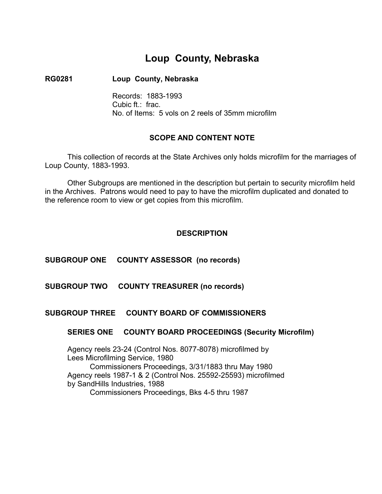# **Loup County, Nebraska**

### **RG0281 Loup County, Nebraska**

Records: 1883-1993 Cubic ft.: frac. No. of Items: 5 vols on 2 reels of 35mm microfilm

### **SCOPE AND CONTENT NOTE**

This collection of records at the State Archives only holds microfilm for the marriages of Loup County, 1883-1993.

Other Subgroups are mentioned in the description but pertain to security microfilm held in the Archives. Patrons would need to pay to have the microfilm duplicated and donated to the reference room to view or get copies from this microfilm.

### **DESCRIPTION**

### **SUBGROUP ONE COUNTY ASSESSOR (no records)**

**SUBGROUP TWO COUNTY TREASURER (no records)** 

### **SUBGROUP THREE COUNTY BOARD OF COMMISSIONERS**

#### **SERIES ONE COUNTY BOARD PROCEEDINGS (Security Microfilm)**

Agency reels 23-24 (Control Nos. 8077-8078) microfilmed by � Lees Microfilming Service, 1980 Commissioners Proceedings, 3/31/1883 thru May 1980 Agency reels 1987-1 & 2 (Control Nos. 25592-25593) microfilmed by SandHills Industries, 1988 � Commissioners Proceedings, Bks 4-5 thru 1987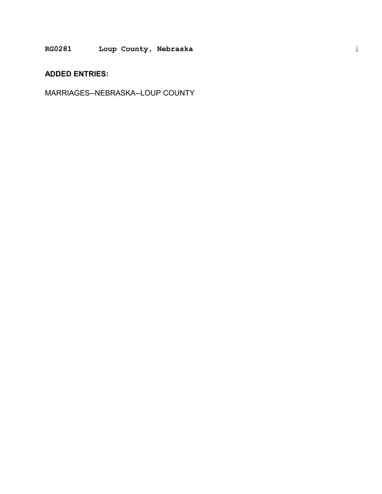### **RG0281 Loup County, Nebraska**

## **ADDED ENTRIES:**

MARRIAGES--NEBRASKA--LOUP COUNTY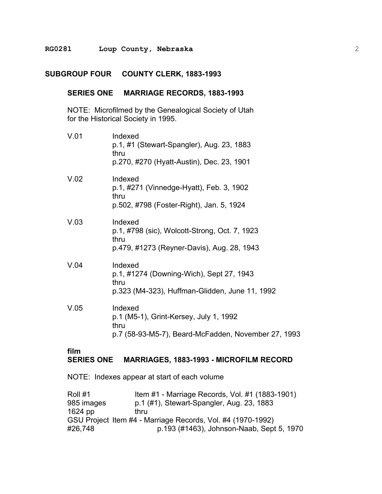#### **RG0281 Loup County, Nebraska**

### **SUBGROUP FOUR COUNTY CLERK, 1883-1993**

### **SERIES ONE MARRIAGE RECORDS, 1883-1993**

NOTE: Microfilmed by the Genealogical Society of Utah � for the Historical Society in 1995.

| V.01 | Indexed<br>p.1, #1 (Stewart-Spangler), Aug. 23, 1883<br>thru<br>p.270, #270 (Hyatt-Austin), Dec. 23, 1901        |
|------|------------------------------------------------------------------------------------------------------------------|
| V.02 | Indexed<br>p.1, #271 (Vinnedge-Hyatt), Feb. 3, 1902<br>thru<br>p.502, #798 (Foster-Right), Jan. 5, 1924          |
| V.03 | Indexed<br>p.1, #798 (sic), Wolcott-Strong, Oct. 7, 1923<br>thru<br>p.479, #1273 (Reyner-Davis), Aug. 28, 1943   |
| V.04 | Indexed<br>p.1, #1274 (Downing-Wich), Sept 27, 1943<br>thru<br>p.323 (M4-323), Huffman-Glidden, June 11, 1992    |
| V.05 | Indexed<br>p.1 (M5-1), Grint-Kersey, July 1, 1992<br>thru<br>p.7 (58-93-M5-7), Beard-McFadden, November 27, 1993 |

#### **film SERIES ONE MARRIAGES, 1883-1993 - MICROFILM RECORD**

NOTE: Indexes appear at start of each volume

| Roll #1    | Item #1 - Marriage Records, Vol. #1 (1883-1901)             |
|------------|-------------------------------------------------------------|
| 985 images | p.1 (#1), Stewart-Spangler, Aug. 23, 1883                   |
| 1624 pp    | thru                                                        |
|            | GSU Project Item #4 - Marriage Records, Vol. #4 (1970-1992) |
| #26,748    | p.193 (#1463), Johnson-Naab, Sept 5, 1970                   |
|            |                                                             |